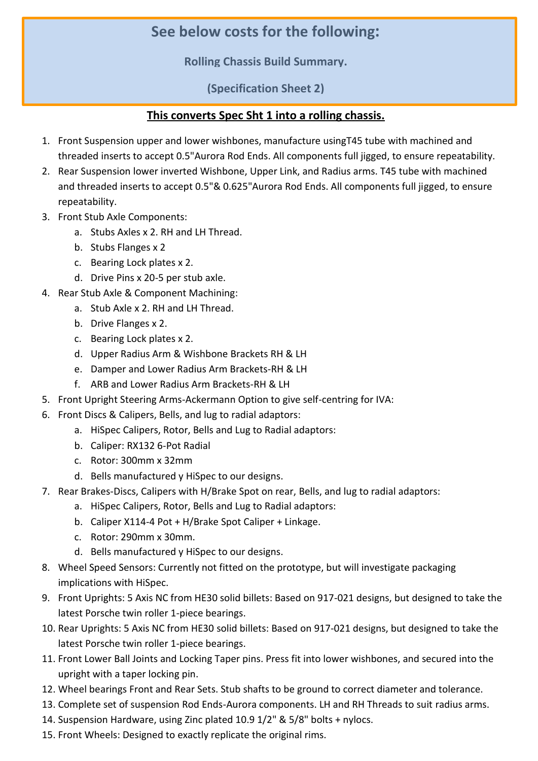## **See below costs for the following:**

**Rolling Chassis Build Summary.**

**(Specification Sheet 2)**

## **This converts Spec Sht 1 into a rolling chassis.**

- 1. Front Suspension upper and lower wishbones, manufacture usingT45 tube with machined and threaded inserts to accept 0.5"Aurora Rod Ends. All components full jigged, to ensure repeatability.
- 2. Rear Suspension lower inverted Wishbone, Upper Link, and Radius arms. T45 tube with machined and threaded inserts to accept 0.5"& 0.625"Aurora Rod Ends. All components full jigged, to ensure repeatability.
- 3. Front Stub Axle Components:
	- a. Stubs Axles x 2. RH and LH Thread.
	- b. Stubs Flanges x 2
	- c. Bearing Lock plates x 2.
	- d. Drive Pins x 20-5 per stub axle.
- 4. Rear Stub Axle & Component Machining:
	- a. Stub Axle x 2. RH and LH Thread.
	- b. Drive Flanges x 2.
	- c. Bearing Lock plates x 2.
	- d. Upper Radius Arm & Wishbone Brackets RH & LH
	- e. Damper and Lower Radius Arm Brackets-RH & LH
	- f. ARB and Lower Radius Arm Brackets-RH & LH
- 5. Front Upright Steering Arms-Ackermann Option to give self-centring for IVA:
- 6. Front Discs & Calipers, Bells, and lug to radial adaptors:
	- a. HiSpec Calipers, Rotor, Bells and Lug to Radial adaptors:
	- b. Caliper: RX132 6-Pot Radial
	- c. Rotor: 300mm x 32mm
	- d. Bells manufactured y HiSpec to our designs.
- 7. Rear Brakes-Discs, Calipers with H/Brake Spot on rear, Bells, and lug to radial adaptors:
	- a. HiSpec Calipers, Rotor, Bells and Lug to Radial adaptors:
	- b. Caliper X114-4 Pot + H/Brake Spot Caliper + Linkage.
	- c. Rotor: 290mm x 30mm.
	- d. Bells manufactured y HiSpec to our designs.
- 8. Wheel Speed Sensors: Currently not fitted on the prototype, but will investigate packaging implications with HiSpec.
- 9. Front Uprights: 5 Axis NC from HE30 solid billets: Based on 917-021 designs, but designed to take the latest Porsche twin roller 1-piece bearings.
- 10. Rear Uprights: 5 Axis NC from HE30 solid billets: Based on 917-021 designs, but designed to take the latest Porsche twin roller 1-piece bearings.
- 11. Front Lower Ball Joints and Locking Taper pins. Press fit into lower wishbones, and secured into the upright with a taper locking pin.
- 12. Wheel bearings Front and Rear Sets. Stub shafts to be ground to correct diameter and tolerance.
- 13. Complete set of suspension Rod Ends-Aurora components. LH and RH Threads to suit radius arms.
- 14. Suspension Hardware, using Zinc plated 10.9 1/2" & 5/8" bolts + nylocs.
- 15. Front Wheels: Designed to exactly replicate the original rims.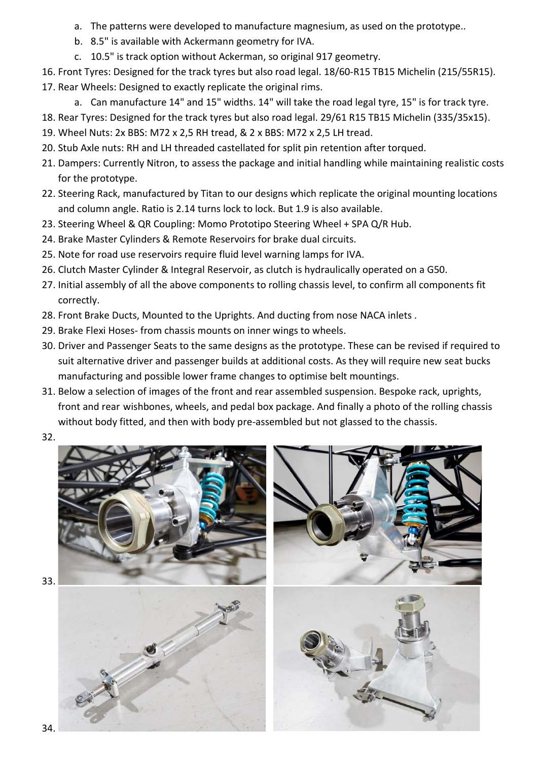- a. The patterns were developed to manufacture magnesium, as used on the prototype..
- b. 8.5" is available with Ackermann geometry for IVA.
- c. 10.5" is track option without Ackerman, so original 917 geometry.
- 16. Front Tyres: Designed for the track tyres but also road legal. 18/60-R15 TB15 Michelin (215/55R15). 17. Rear Wheels: Designed to exactly replicate the original rims.
	- a. Can manufacture 14" and 15" widths. 14" will take the road legal tyre, 15" is for track tyre.
- 18. Rear Tyres: Designed for the track tyres but also road legal. 29/61 R15 TB15 Michelin (335/35x15).
- 19. Wheel Nuts: 2x BBS: M72 x 2,5 RH tread, & 2 x BBS: M72 x 2,5 LH tread.
- 20. Stub Axle nuts: RH and LH threaded castellated for split pin retention after torqued.
- 21. Dampers: Currently Nitron, to assess the package and initial handling while maintaining realistic costs for the prototype.
- 22. Steering Rack, manufactured by Titan to our designs which replicate the original mounting locations and column angle. Ratio is 2.14 turns lock to lock. But 1.9 is also available.
- 23. Steering Wheel & QR Coupling: Momo Prototipo Steering Wheel + SPA Q/R Hub.
- 24. Brake Master Cylinders & Remote Reservoirs for brake dual circuits.
- 25. Note for road use reservoirs require fluid level warning lamps for IVA.
- 26. Clutch Master Cylinder & Integral Reservoir, as clutch is hydraulically operated on a G50.
- 27. Initial assembly of all the above components to rolling chassis level, to confirm all components fit correctly.
- 28. Front Brake Ducts, Mounted to the Uprights. And ducting from nose NACA inlets .
- 29. Brake Flexi Hoses- from chassis mounts on inner wings to wheels.
- 30. Driver and Passenger Seats to the same designs as the prototype. These can be revised if required to suit alternative driver and passenger builds at additional costs. As they will require new seat bucks manufacturing and possible lower frame changes to optimise belt mountings.
- 31. Below a selection of images of the front and rear assembled suspension. Bespoke rack, uprights, front and rear wishbones, wheels, and pedal box package. And finally a photo of the rolling chassis without body fitted, and then with body pre-assembled but not glassed to the chassis.
- 32.

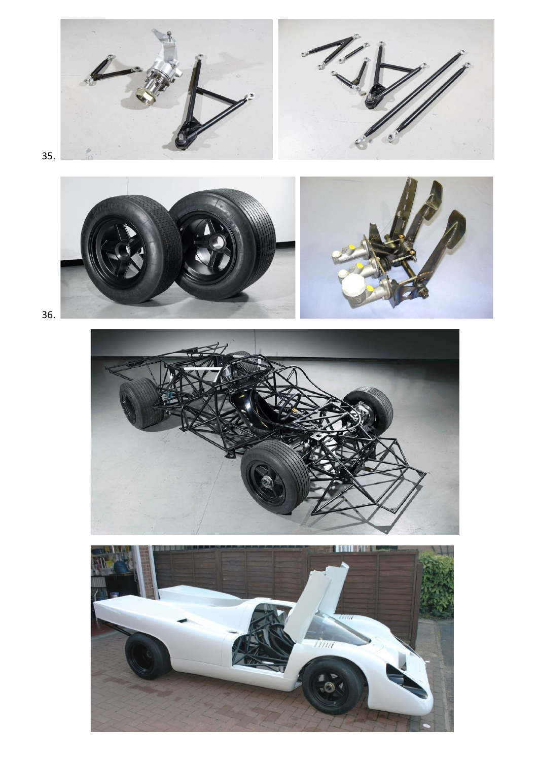